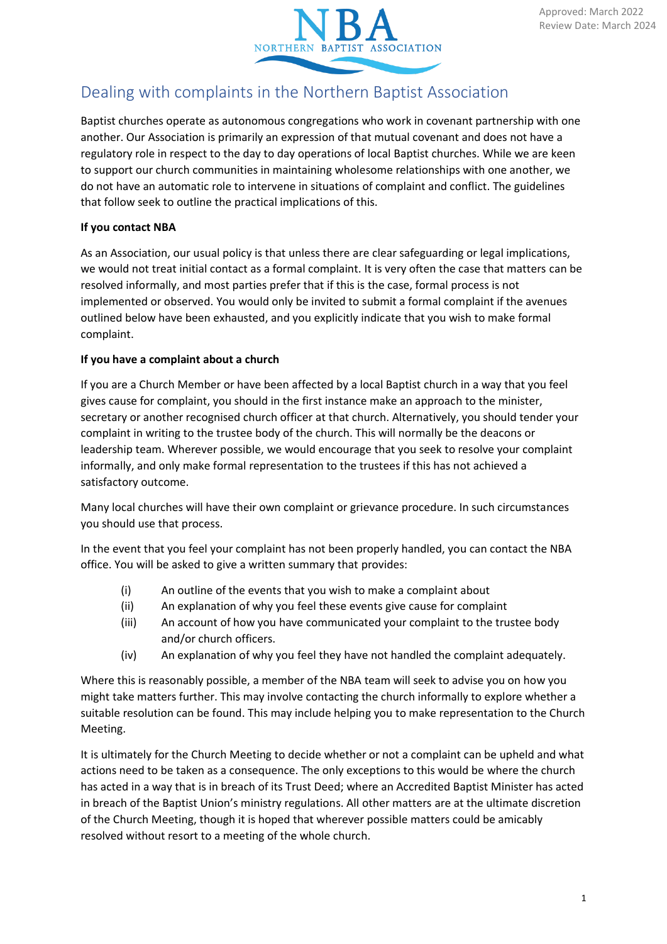

# Dealing with complaints in the Northern Baptist Association

Baptist churches operate as autonomous congregations who work in covenant partnership with one another. Our Association is primarily an expression of that mutual covenant and does not have a regulatory role in respect to the day to day operations of local Baptist churches. While we are keen to support our church communities in maintaining wholesome relationships with one another, we do not have an automatic role to intervene in situations of complaint and conflict. The guidelines that follow seek to outline the practical implications of this.

# **If you contact NBA**

As an Association, our usual policy is that unless there are clear safeguarding or legal implications, we would not treat initial contact as a formal complaint. It is very often the case that matters can be resolved informally, and most parties prefer that if this is the case, formal process is not implemented or observed. You would only be invited to submit a formal complaint if the avenues outlined below have been exhausted, and you explicitly indicate that you wish to make formal complaint.

# **If you have a complaint about a church**

If you are a Church Member or have been affected by a local Baptist church in a way that you feel gives cause for complaint, you should in the first instance make an approach to the minister, secretary or another recognised church officer at that church. Alternatively, you should tender your complaint in writing to the trustee body of the church. This will normally be the deacons or leadership team. Wherever possible, we would encourage that you seek to resolve your complaint informally, and only make formal representation to the trustees if this has not achieved a satisfactory outcome.

Many local churches will have their own complaint or grievance procedure. In such circumstances you should use that process.

In the event that you feel your complaint has not been properly handled, you can contact the NBA office. You will be asked to give a written summary that provides:

- (i) An outline of the events that you wish to make a complaint about
- (ii) An explanation of why you feel these events give cause for complaint
- (iii) An account of how you have communicated your complaint to the trustee body and/or church officers.
- (iv) An explanation of why you feel they have not handled the complaint adequately.

Where this is reasonably possible, a member of the NBA team will seek to advise you on how you might take matters further. This may involve contacting the church informally to explore whether a suitable resolution can be found. This may include helping you to make representation to the Church Meeting.

It is ultimately for the Church Meeting to decide whether or not a complaint can be upheld and what actions need to be taken as a consequence. The only exceptions to this would be where the church has acted in a way that is in breach of its Trust Deed; where an Accredited Baptist Minister has acted in breach of the Baptist Union's ministry regulations. All other matters are at the ultimate discretion of the Church Meeting, though it is hoped that wherever possible matters could be amicably resolved without resort to a meeting of the whole church.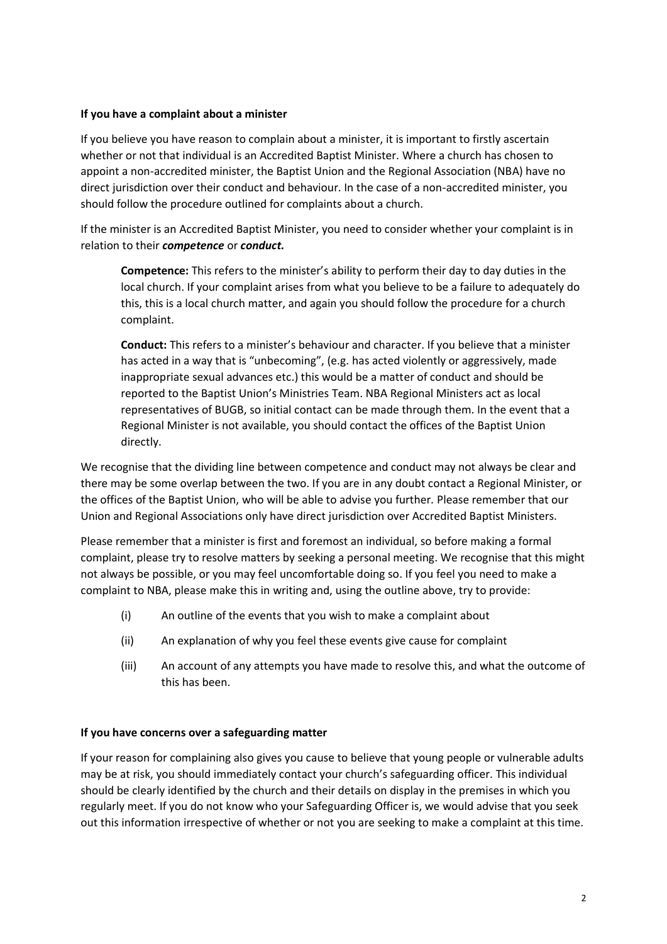#### **If you have a complaint about a minister**

If you believe you have reason to complain about a minister, it is important to firstly ascertain whether or not that individual is an Accredited Baptist Minister. Where a church has chosen to appoint a non-accredited minister, the Baptist Union and the Regional Association (NBA) have no direct jurisdiction over their conduct and behaviour. In the case of a non-accredited minister, you should follow the procedure outlined for complaints about a church.

If the minister is an Accredited Baptist Minister, you need to consider whether your complaint is in relation to their *competence* or *conduct.*

**Competence:** This refers to the minister's ability to perform their day to day duties in the local church. If your complaint arises from what you believe to be a failure to adequately do this, this is a local church matter, and again you should follow the procedure for a church complaint.

**Conduct:** This refers to a minister's behaviour and character. If you believe that a minister has acted in a way that is "unbecoming", (e.g. has acted violently or aggressively, made inappropriate sexual advances etc.) this would be a matter of conduct and should be reported to the Baptist Union's Ministries Team. NBA Regional Ministers act as local representatives of BUGB, so initial contact can be made through them. In the event that a Regional Minister is not available, you should contact the offices of the Baptist Union directly.

We recognise that the dividing line between competence and conduct may not always be clear and there may be some overlap between the two. If you are in any doubt contact a Regional Minister, or the offices of the Baptist Union, who will be able to advise you further. Please remember that our Union and Regional Associations only have direct jurisdiction over Accredited Baptist Ministers.

Please remember that a minister is first and foremost an individual, so before making a formal complaint, please try to resolve matters by seeking a personal meeting. We recognise that this might not always be possible, or you may feel uncomfortable doing so. If you feel you need to make a complaint to NBA, please make this in writing and, using the outline above, try to provide:

- (i) An outline of the events that you wish to make a complaint about
- (ii) An explanation of why you feel these events give cause for complaint
- (iii) An account of any attempts you have made to resolve this, and what the outcome of this has been.

#### **If you have concerns over a safeguarding matter**

If your reason for complaining also gives you cause to believe that young people or vulnerable adults may be at risk, you should immediately contact your church's safeguarding officer. This individual should be clearly identified by the church and their details on display in the premises in which you regularly meet. If you do not know who your Safeguarding Officer is, we would advise that you seek out this information irrespective of whether or not you are seeking to make a complaint at this time.